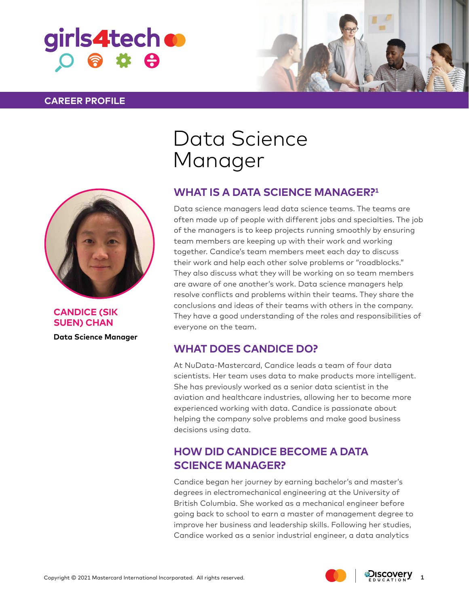

### **CAREER PROFILE**





**CANDICE (SIK SUEN) CHAN**

**Data Science Manager**

## Data Science Manager

### **WHAT IS A DATA SCIENCE MANAGER?1**

Data science managers lead data science teams. The teams are often made up of people with different jobs and specialties. The job of the managers is to keep projects running smoothly by ensuring team members are keeping up with their work and working together. Candice's team members meet each day to discuss their work and help each other solve problems or "roadblocks." They also discuss what they will be working on so team members are aware of one another's work. Data science managers help resolve conflicts and problems within their teams. They share the conclusions and ideas of their teams with others in the company. They have a good understanding of the roles and responsibilities of everyone on the team.

### **WHAT DOES CANDICE DO?**

At NuData-Mastercard, Candice leads a team of four data scientists. Her team uses data to make products more intelligent. She has previously worked as a senior data scientist in the aviation and healthcare industries, allowing her to become more experienced working with data. Candice is passionate about helping the company solve problems and make good business decisions using data.

### **HOW DID CANDICE BECOME A DATA SCIENCE MANAGER?**

Candice began her journey by earning bachelor's and master's degrees in electromechanical engineering at the University of British Columbia. She worked as a mechanical engineer before going back to school to earn a master of management degree to improve her business and leadership skills. Following her studies, Candice worked as a senior industrial engineer, a data analytics